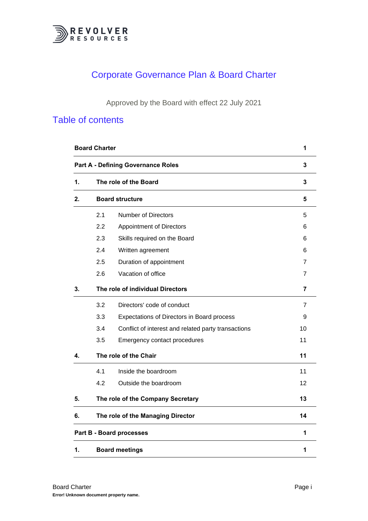

# Corporate Governance Plan & Board Charter

Approved by the Board with effect 22 July 2021

# Table of contents

|    | <b>Board Charter</b>             |                                                     | 1  |
|----|----------------------------------|-----------------------------------------------------|----|
|    |                                  | <b>Part A - Defining Governance Roles</b>           | 3  |
| 1. |                                  | The role of the Board                               | 3  |
| 2. | <b>Board structure</b>           |                                                     | 5  |
|    | 2.1                              | Number of Directors                                 | 5  |
|    | 2.2                              | <b>Appointment of Directors</b>                     | 6  |
|    | 2.3                              | Skills required on the Board                        | 6  |
|    | 2.4                              | Written agreement                                   | 6  |
|    | 2.5                              | Duration of appointment                             | 7  |
|    | 2.6                              | Vacation of office                                  | 7  |
| 3. | The role of individual Directors | 7                                                   |    |
|    | 3.2                              | Directors' code of conduct                          | 7  |
|    | 3.3                              | Expectations of Directors in Board process          | 9  |
|    | 3.4                              | Conflict of interest and related party transactions | 10 |
|    | 3.5                              | Emergency contact procedures                        | 11 |
| 4. | The role of the Chair            | 11                                                  |    |
|    | 4.1                              | Inside the boardroom                                | 11 |
|    | 4.2                              | Outside the boardroom                               | 12 |
| 5. |                                  | The role of the Company Secretary                   | 13 |
| 6. |                                  | The role of the Managing Director                   | 14 |
|    |                                  | <b>Part B - Board processes</b>                     | 1  |
| 1. |                                  | <b>Board meetings</b>                               | 1  |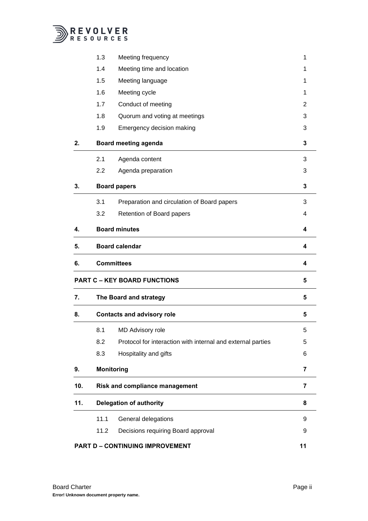

|     | 1.3                               | Meeting frequency                                           | 1  |
|-----|-----------------------------------|-------------------------------------------------------------|----|
|     | 1.4                               | Meeting time and location                                   | 1  |
|     | 1.5                               | Meeting language                                            | 1  |
|     | 1.6                               | Meeting cycle                                               | 1  |
|     | 1.7                               | Conduct of meeting                                          | 2  |
|     | 1.8                               | Quorum and voting at meetings                               | 3  |
|     | 1.9                               | Emergency decision making                                   | 3  |
| 2.  | <b>Board meeting agenda</b>       | 3                                                           |    |
|     | 2.1                               | Agenda content                                              | 3  |
|     | 2.2                               | Agenda preparation                                          | 3  |
| 3.  | <b>Board papers</b>               | 3                                                           |    |
|     | 3.1                               | Preparation and circulation of Board papers                 | 3  |
|     | 3.2                               | Retention of Board papers                                   | 4  |
| 4.  |                                   | <b>Board minutes</b>                                        | 4  |
| 5.  | <b>Board calendar</b>             |                                                             | 4  |
| 6.  | <b>Committees</b>                 |                                                             | 4  |
|     |                                   | <b>PART C - KEY BOARD FUNCTIONS</b>                         | 5  |
| 7.  |                                   | The Board and strategy                                      |    |
| 8.  | <b>Contacts and advisory role</b> | 5                                                           |    |
|     | 8.1                               | <b>MD Advisory role</b>                                     | 5  |
|     | 8.2                               | Protocol for interaction with internal and external parties | 5  |
|     | 8.3                               | Hospitality and gifts                                       | 6  |
| 9.  |                                   | <b>Monitoring</b>                                           | 7  |
| 10. |                                   | Risk and compliance management                              | 7  |
| 11. | <b>Delegation of authority</b>    |                                                             | 8  |
|     | 11.1                              | General delegations                                         | 9  |
|     | 11.2                              | Decisions requiring Board approval                          | 9  |
|     |                                   | <b>PART D - CONTINUING IMPROVEMENT</b>                      | 11 |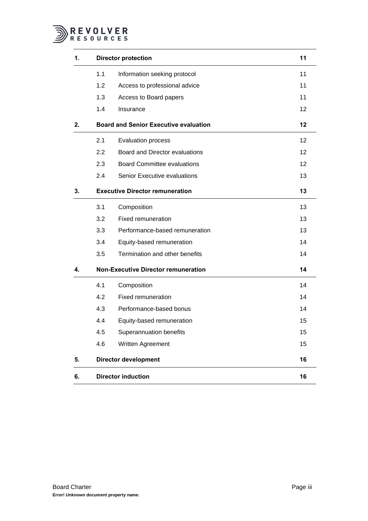

| 1. |                                        | <b>Director protection</b>                   | 11              |
|----|----------------------------------------|----------------------------------------------|-----------------|
|    | 1.1                                    | Information seeking protocol                 | 11              |
|    | 1.2                                    | Access to professional advice                | 11              |
|    | 1.3                                    | Access to Board papers                       | 11              |
|    | 1.4                                    | Insurance                                    | 12 <sup>2</sup> |
| 2. |                                        | <b>Board and Senior Executive evaluation</b> | 12              |
|    | 2.1                                    | <b>Evaluation process</b>                    | 12              |
|    | 2.2                                    | Board and Director evaluations               | 12              |
|    | 2.3                                    | <b>Board Committee evaluations</b>           | 12              |
|    | 2.4                                    | Senior Executive evaluations                 | 13              |
| 3. | <b>Executive Director remuneration</b> | 13                                           |                 |
|    | 3.1                                    | Composition                                  | 13              |
|    | 3.2                                    | Fixed remuneration                           | 13              |
|    | 3.3                                    | Performance-based remuneration               | 13              |
|    | 3.4                                    | Equity-based remuneration                    | 14              |
|    | 3.5                                    | Termination and other benefits               | 14              |
| 4. |                                        | <b>Non-Executive Director remuneration</b>   | 14              |
|    | 4.1                                    | Composition                                  | 14              |
|    | 4.2                                    | Fixed remuneration                           | 14              |
|    | 4.3                                    | Performance-based bonus                      | 14              |
|    | 4.4                                    | Equity-based remuneration                    | 15              |
|    | 4.5                                    | Superannuation benefits                      | 15              |
|    | 4.6                                    | Written Agreement                            | 15              |
| 5. |                                        | <b>Director development</b>                  | 16              |
| 6. |                                        | <b>Director induction</b>                    | 16              |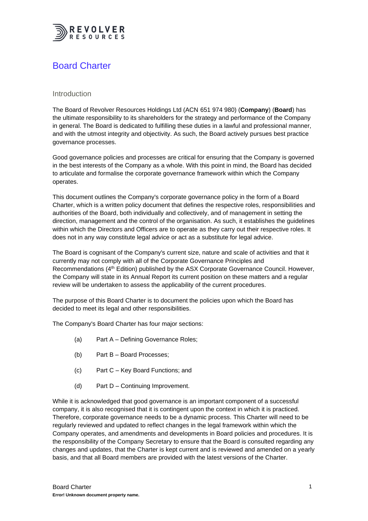

# <span id="page-3-0"></span>Board Charter

### Introduction

The Board of Revolver Resources Holdings Ltd (ACN 651 974 980) (**Company**) (**Board**) has the ultimate responsibility to its shareholders for the strategy and performance of the Company in general. The Board is dedicated to fulfilling these duties in a lawful and professional manner, and with the utmost integrity and objectivity. As such, the Board actively pursues best practice governance processes.

Good governance policies and processes are critical for ensuring that the Company is governed in the best interests of the Company as a whole. With this point in mind, the Board has decided to articulate and formalise the corporate governance framework within which the Company operates.

This document outlines the Company's corporate governance policy in the form of a Board Charter, which is a written policy document that defines the respective roles, responsibilities and authorities of the Board, both individually and collectively, and of management in setting the direction, management and the control of the organisation. As such, it establishes the guidelines within which the Directors and Officers are to operate as they carry out their respective roles. It does not in any way constitute legal advice or act as a substitute for legal advice.

The Board is cognisant of the Company's current size, nature and scale of activities and that it currently may not comply with all of the Corporate Governance Principles and Recommendations (4th Edition) published by the ASX Corporate Governance Council. However, the Company will state in its Annual Report its current position on these matters and a regular review will be undertaken to assess the applicability of the current procedures.

The purpose of this Board Charter is to document the policies upon which the Board has decided to meet its legal and other responsibilities.

The Company's Board Charter has four major sections:

- (a) Part A Defining Governance Roles;
- (b) Part B Board Processes;
- (c) Part C Key Board Functions; and
- (d) Part D Continuing Improvement.

While it is acknowledged that good governance is an important component of a successful company, it is also recognised that it is contingent upon the context in which it is practiced. Therefore, corporate governance needs to be a dynamic process. This Charter will need to be regularly reviewed and updated to reflect changes in the legal framework within which the Company operates, and amendments and developments in Board policies and procedures. It is the responsibility of the Company Secretary to ensure that the Board is consulted regarding any changes and updates, that the Charter is kept current and is reviewed and amended on a yearly basis, and that all Board members are provided with the latest versions of the Charter.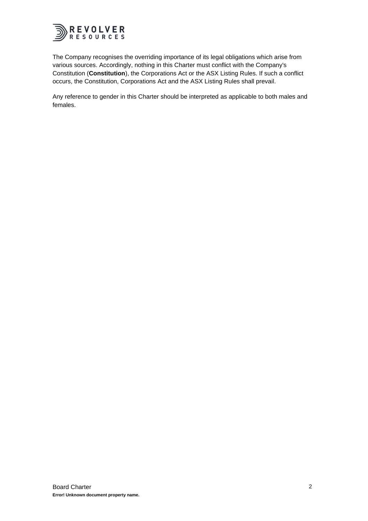

The Company recognises the overriding importance of its legal obligations which arise from various sources. Accordingly, nothing in this Charter must conflict with the Company's Constitution (**Constitution**), the Corporations Act or the ASX Listing Rules. If such a conflict occurs, the Constitution, Corporations Act and the ASX Listing Rules shall prevail.

Any reference to gender in this Charter should be interpreted as applicable to both males and females.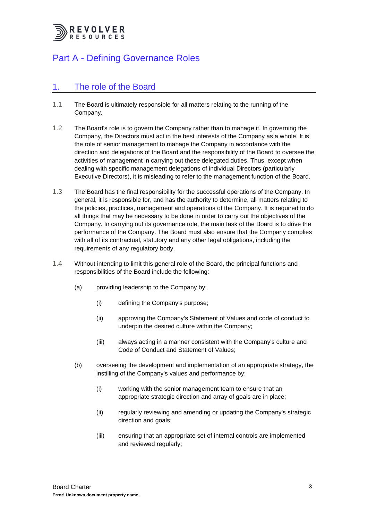

# <span id="page-5-0"></span>Part A - Defining Governance Roles

## <span id="page-5-1"></span>1. The role of the Board

- 1.1 The Board is ultimately responsible for all matters relating to the running of the Company.
- 1.2 The Board's role is to govern the Company rather than to manage it. In governing the Company, the Directors must act in the best interests of the Company as a whole. It is the role of senior management to manage the Company in accordance with the direction and delegations of the Board and the responsibility of the Board to oversee the activities of management in carrying out these delegated duties. Thus, except when dealing with specific management delegations of individual Directors (particularly Executive Directors), it is misleading to refer to the management function of the Board.
- 1.3 The Board has the final responsibility for the successful operations of the Company. In general, it is responsible for, and has the authority to determine, all matters relating to the policies, practices, management and operations of the Company. It is required to do all things that may be necessary to be done in order to carry out the objectives of the Company. In carrying out its governance role, the main task of the Board is to drive the performance of the Company. The Board must also ensure that the Company complies with all of its contractual, statutory and any other legal obligations, including the requirements of any regulatory body.
- 1.4 Without intending to limit this general role of the Board, the principal functions and responsibilities of the Board include the following:
	- (a) providing leadership to the Company by:
		- (i) defining the Company's purpose;
		- (ii) approving the Company's Statement of Values and code of conduct to underpin the desired culture within the Company;
		- (iii) always acting in a manner consistent with the Company's culture and Code of Conduct and Statement of Values;
	- (b) overseeing the development and implementation of an appropriate strategy, the instilling of the Company's values and performance by:
		- (i) working with the senior management team to ensure that an appropriate strategic direction and array of goals are in place;
		- (ii) regularly reviewing and amending or updating the Company's strategic direction and goals;
		- (iii) ensuring that an appropriate set of internal controls are implemented and reviewed regularly;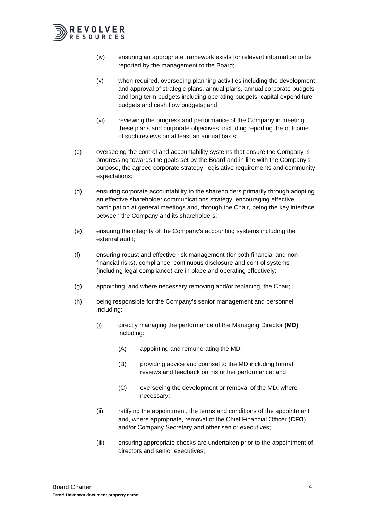

- (iv) ensuring an appropriate framework exists for relevant information to be reported by the management to the Board;
- (v) when required, overseeing planning activities including the development and approval of strategic plans, annual plans, annual corporate budgets and long-term budgets including operating budgets, capital expenditure budgets and cash flow budgets; and
- (vi) reviewing the progress and performance of the Company in meeting these plans and corporate objectives, including reporting the outcome of such reviews on at least an annual basis;
- (c) overseeing the control and accountability systems that ensure the Company is progressing towards the goals set by the Board and in line with the Company's purpose, the agreed corporate strategy, legislative requirements and community expectations;
- (d) ensuring corporate accountability to the shareholders primarily through adopting an effective shareholder communications strategy, encouraging effective participation at general meetings and, through the Chair, being the key interface between the Company and its shareholders;
- (e) ensuring the integrity of the Company's accounting systems including the external audit;
- (f) ensuring robust and effective risk management (for both financial and nonfinancial risks), compliance, continuous disclosure and control systems (including legal compliance) are in place and operating effectively;
- (g) appointing, and where necessary removing and/or replacing, the Chair;
- (h) being responsible for the Company's senior management and personnel including:
	- (i) directly managing the performance of the Managing Director **(MD)** including:
		- (A) appointing and remunerating the MD;
		- (B) providing advice and counsel to the MD including formal reviews and feedback on his or her performance; and
		- (C) overseeing the development or removal of the MD, where necessary;
	- (ii) ratifying the appointment, the terms and conditions of the appointment and, where appropriate, removal of the Chief Financial Officer (**CFO**) and/or Company Secretary and other senior executives;
	- (iii) ensuring appropriate checks are undertaken prior to the appointment of directors and senior executives;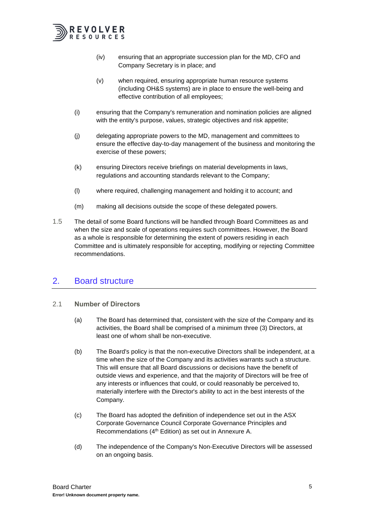

- (iv) ensuring that an appropriate succession plan for the MD, CFO and Company Secretary is in place; and
- (v) when required, ensuring appropriate human resource systems (including OH&S systems) are in place to ensure the well-being and effective contribution of all employees;
- (i) ensuring that the Company's remuneration and nomination policies are aligned with the entity's purpose, values, strategic objectives and risk appetite;
- (j) delegating appropriate powers to the MD, management and committees to ensure the effective day-to-day management of the business and monitoring the exercise of these powers;
- (k) ensuring Directors receive briefings on material developments in laws, regulations and accounting standards relevant to the Company;
- (l) where required, challenging management and holding it to account; and
- (m) making all decisions outside the scope of these delegated powers.
- 1.5 The detail of some Board functions will be handled through Board Committees as and when the size and scale of operations requires such committees. However, the Board as a whole is responsible for determining the extent of powers residing in each Committee and is ultimately responsible for accepting, modifying or rejecting Committee recommendations.

## <span id="page-7-0"></span>2. Board structure

- <span id="page-7-1"></span>2.1 **Number of Directors**
	- (a) The Board has determined that, consistent with the size of the Company and its activities, the Board shall be comprised of a minimum three (3) Directors, at least one of whom shall be non-executive.
	- (b) The Board's policy is that the non-executive Directors shall be independent, at a time when the size of the Company and its activities warrants such a structure. This will ensure that all Board discussions or decisions have the benefit of outside views and experience, and that the majority of Directors will be free of any interests or influences that could, or could reasonably be perceived to, materially interfere with the Director's ability to act in the best interests of the Company.
	- (c) The Board has adopted the definition of independence set out in the ASX Corporate Governance Council Corporate Governance Principles and Recommendations (4<sup>th</sup> Edition) as set out in Annexure A.
	- (d) The independence of the Company's Non-Executive Directors will be assessed on an ongoing basis.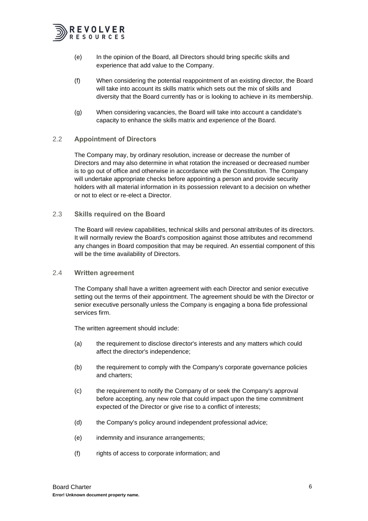

- (e) In the opinion of the Board, all Directors should bring specific skills and experience that add value to the Company.
- (f) When considering the potential reappointment of an existing director, the Board will take into account its skills matrix which sets out the mix of skills and diversity that the Board currently has or is looking to achieve in its membership.
- (g) When considering vacancies, the Board will take into account a candidate's capacity to enhance the skills matrix and experience of the Board.

#### <span id="page-8-0"></span>2.2 **Appointment of Directors**

The Company may, by ordinary resolution, increase or decrease the number of Directors and may also determine in what rotation the increased or decreased number is to go out of office and otherwise in accordance with the Constitution. The Company will undertake appropriate checks before appointing a person and provide security holders with all material information in its possession relevant to a decision on whether or not to elect or re-elect a Director.

#### <span id="page-8-1"></span>2.3 **Skills required on the Board**

The Board will review capabilities, technical skills and personal attributes of its directors. It will normally review the Board's composition against those attributes and recommend any changes in Board composition that may be required. An essential component of this will be the time availability of Directors.

#### <span id="page-8-2"></span>2.4 **Written agreement**

The Company shall have a written agreement with each Director and senior executive setting out the terms of their appointment. The agreement should be with the Director or senior executive personally unless the Company is engaging a bona fide professional services firm.

The written agreement should include:

- (a) the requirement to disclose director's interests and any matters which could affect the director's independence;
- (b) the requirement to comply with the Company's corporate governance policies and charters;
- (c) the requirement to notify the Company of or seek the Company's approval before accepting, any new role that could impact upon the time commitment expected of the Director or give rise to a conflict of interests;
- (d) the Company's policy around independent professional advice;
- (e) indemnity and insurance arrangements;
- (f) rights of access to corporate information; and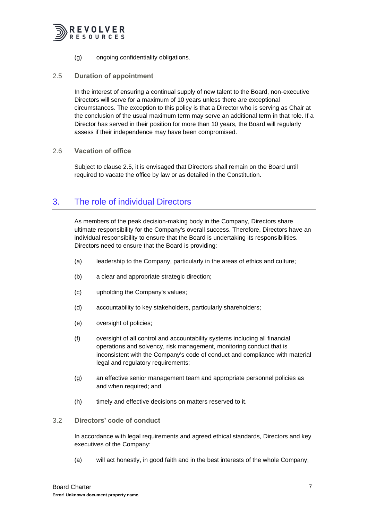

(g) ongoing confidentiality obligations.

#### <span id="page-9-0"></span>2.5 **Duration of appointment**

In the interest of ensuring a continual supply of new talent to the Board, non-executive Directors will serve for a maximum of 10 years unless there are exceptional circumstances. The exception to this policy is that a Director who is serving as Chair at the conclusion of the usual maximum term may serve an additional term in that role. If a Director has served in their position for more than 10 years, the Board will regularly assess if their independence may have been compromised.

#### <span id="page-9-1"></span>2.6 **Vacation of office**

Subject to clause [2.5,](#page-9-0) it is envisaged that Directors shall remain on the Board until required to vacate the office by law or as detailed in the Constitution.

# <span id="page-9-2"></span>3. The role of individual Directors

As members of the peak decision-making body in the Company, Directors share ultimate responsibility for the Company's overall success. Therefore, Directors have an individual responsibility to ensure that the Board is undertaking its responsibilities. Directors need to ensure that the Board is providing:

- (a) leadership to the Company, particularly in the areas of ethics and culture;
- (b) a clear and appropriate strategic direction;
- (c) upholding the Company's values;
- (d) accountability to key stakeholders, particularly shareholders;
- (e) oversight of policies;
- (f) oversight of all control and accountability systems including all financial operations and solvency, risk management, monitoring conduct that is inconsistent with the Company's code of conduct and compliance with material legal and regulatory requirements;
- (g) an effective senior management team and appropriate personnel policies as and when required; and
- (h) timely and effective decisions on matters reserved to it.

#### <span id="page-9-3"></span>3.2 **Directors' code of conduct**

In accordance with legal requirements and agreed ethical standards, Directors and key executives of the Company:

(a) will act honestly, in good faith and in the best interests of the whole Company;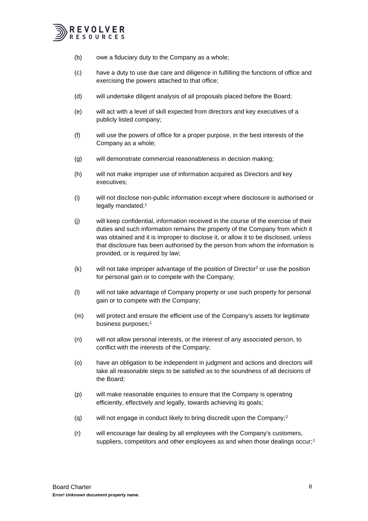

- (b) owe a fiduciary duty to the Company as a whole;
- (c) have a duty to use due care and diligence in fulfilling the functions of office and exercising the powers attached to that office;
- (d) will undertake diligent analysis of all proposals placed before the Board;
- (e) will act with a level of skill expected from directors and key executives of a publicly listed company;
- (f) will use the powers of office for a proper purpose, in the best interests of the Company as a whole;
- (g) will demonstrate commercial reasonableness in decision making;
- (h) will not make improper use of information acquired as Directors and key executives;
- (i) will not disclose non-public information except where disclosure is authorised or legally mandated;<sup>1</sup>
- (j) will keep confidential, information received in the course of the exercise of their duties and such information remains the property of the Company from which it was obtained and it is improper to disclose it, or allow it to be disclosed, unless that disclosure has been authorised by the person from whom the information is provided, or is required by law;
- $(k)$  will not take improper advantage of the position of Director<sup>2</sup> or use the position for personal gain or to compete with the Company;
- (l) will not take advantage of Company property or use such property for personal gain or to compete with the Company;
- (m) will protect and ensure the efficient use of the Company's assets for legitimate business purposes;<sup>1</sup>
- (n) will not allow personal interests, or the interest of any associated person, to conflict with the interests of the Company;
- (o) have an obligation to be independent in judgment and actions and directors will take all reasonable steps to be satisfied as to the soundness of all decisions of the Board;
- (p) will make reasonable enquiries to ensure that the Company is operating efficiently, effectively and legally, towards achieving its goals;
- (q) will not engage in conduct likely to bring discredit upon the Company;<sup>2</sup>
- (r) will encourage fair dealing by all employees with the Company's customers, suppliers, competitors and other employees as and when those dealings occur;<sup>1</sup>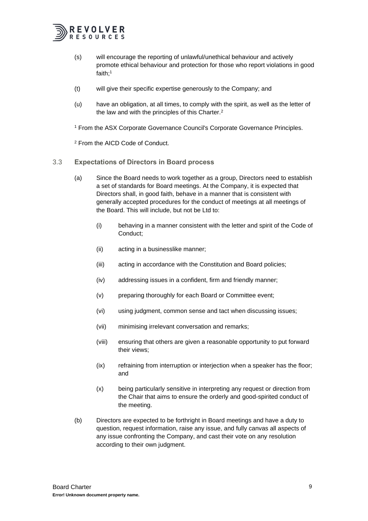

- (s) will encourage the reporting of unlawful/unethical behaviour and actively promote ethical behaviour and protection for those who report violations in good faith;<sup>1</sup>
- (t) will give their specific expertise generously to the Company; and
- (u) have an obligation, at all times, to comply with the spirit, as well as the letter of the law and with the principles of this Charter.<sup>2</sup>

<sup>1</sup> From the ASX Corporate Governance Council's Corporate Governance Principles.

<sup>2</sup> From the AICD Code of Conduct.

- <span id="page-11-0"></span>3.3 **Expectations of Directors in Board process**
	- (a) Since the Board needs to work together as a group, Directors need to establish a set of standards for Board meetings. At the Company, it is expected that Directors shall, in good faith, behave in a manner that is consistent with generally accepted procedures for the conduct of meetings at all meetings of the Board. This will include, but not be Ltd to:
		- (i) behaving in a manner consistent with the letter and spirit of the Code of Conduct;
		- (ii) acting in a businesslike manner;
		- (iii) acting in accordance with the Constitution and Board policies;
		- (iv) addressing issues in a confident, firm and friendly manner;
		- (v) preparing thoroughly for each Board or Committee event;
		- (vi) using judgment, common sense and tact when discussing issues;
		- (vii) minimising irrelevant conversation and remarks;
		- (viii) ensuring that others are given a reasonable opportunity to put forward their views;
		- (ix) refraining from interruption or interjection when a speaker has the floor; and
		- (x) being particularly sensitive in interpreting any request or direction from the Chair that aims to ensure the orderly and good-spirited conduct of the meeting.
	- (b) Directors are expected to be forthright in Board meetings and have a duty to question, request information, raise any issue, and fully canvas all aspects of any issue confronting the Company, and cast their vote on any resolution according to their own judgment.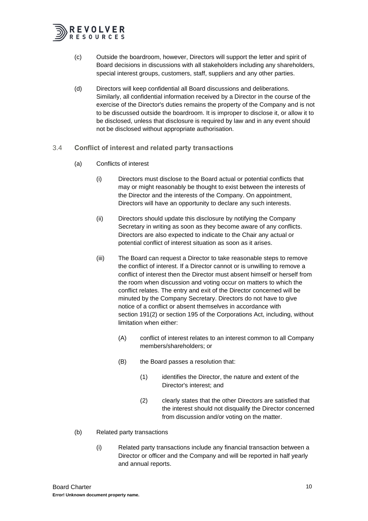

- (c) Outside the boardroom, however, Directors will support the letter and spirit of Board decisions in discussions with all stakeholders including any shareholders, special interest groups, customers, staff, suppliers and any other parties.
- (d) Directors will keep confidential all Board discussions and deliberations. Similarly, all confidential information received by a Director in the course of the exercise of the Director's duties remains the property of the Company and is not to be discussed outside the boardroom. It is improper to disclose it, or allow it to be disclosed, unless that disclosure is required by law and in any event should not be disclosed without appropriate authorisation.
- <span id="page-12-0"></span>3.4 **Conflict of interest and related party transactions**
	- (a) Conflicts of interest
		- (i) Directors must disclose to the Board actual or potential conflicts that may or might reasonably be thought to exist between the interests of the Director and the interests of the Company. On appointment, Directors will have an opportunity to declare any such interests.
		- (ii) Directors should update this disclosure by notifying the Company Secretary in writing as soon as they become aware of any conflicts. Directors are also expected to indicate to the Chair any actual or potential conflict of interest situation as soon as it arises.
		- (iii) The Board can request a Director to take reasonable steps to remove the conflict of interest. If a Director cannot or is unwilling to remove a conflict of interest then the Director must absent himself or herself from the room when discussion and voting occur on matters to which the conflict relates. The entry and exit of the Director concerned will be minuted by the Company Secretary. Directors do not have to give notice of a conflict or absent themselves in accordance with section 191(2) or section 195 of the Corporations Act, including, without limitation when either:
			- (A) conflict of interest relates to an interest common to all Company members/shareholders; or
			- (B) the Board passes a resolution that:
				- (1) identifies the Director, the nature and extent of the Director's interest; and
				- (2) clearly states that the other Directors are satisfied that the interest should not disqualify the Director concerned from discussion and/or voting on the matter.
	- (b) Related party transactions
		- (i) Related party transactions include any financial transaction between a Director or officer and the Company and will be reported in half yearly and annual reports.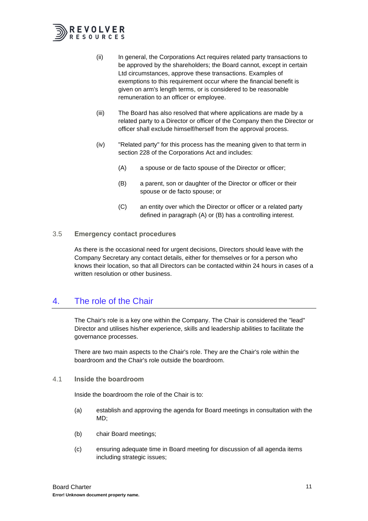

- (ii) In general, the Corporations Act requires related party transactions to be approved by the shareholders; the Board cannot, except in certain Ltd circumstances, approve these transactions. Examples of exemptions to this requirement occur where the financial benefit is given on arm's length terms, or is considered to be reasonable remuneration to an officer or employee.
- (iii) The Board has also resolved that where applications are made by a related party to a Director or officer of the Company then the Director or officer shall exclude himself/herself from the approval process.
- <span id="page-13-3"></span>(iv) "Related party" for this process has the meaning given to that term in section 228 of the Corporations Act and includes:
	- (A) a spouse or de facto spouse of the Director or officer;
	- (B) a parent, son or daughter of the Director or officer or their spouse or de facto spouse; or
	- (C) an entity over which the Director or officer or a related party defined in paragraph [\(A\)](#page-13-3) or [\(B\)](#page-13-4) has a controlling interest.
- <span id="page-13-4"></span><span id="page-13-0"></span>3.5 **Emergency contact procedures**

As there is the occasional need for urgent decisions, Directors should leave with the Company Secretary any contact details, either for themselves or for a person who knows their location, so that all Directors can be contacted within 24 hours in cases of a written resolution or other business.

# <span id="page-13-1"></span>4. The role of the Chair

The Chair's role is a key one within the Company. The Chair is considered the "lead" Director and utilises his/her experience, skills and leadership abilities to facilitate the governance processes.

There are two main aspects to the Chair's role. They are the Chair's role within the boardroom and the Chair's role outside the boardroom.

<span id="page-13-2"></span>4.1 **Inside the boardroom**

Inside the boardroom the role of the Chair is to:

- (a) establish and approving the agenda for Board meetings in consultation with the MD;
- (b) chair Board meetings;
- (c) ensuring adequate time in Board meeting for discussion of all agenda items including strategic issues;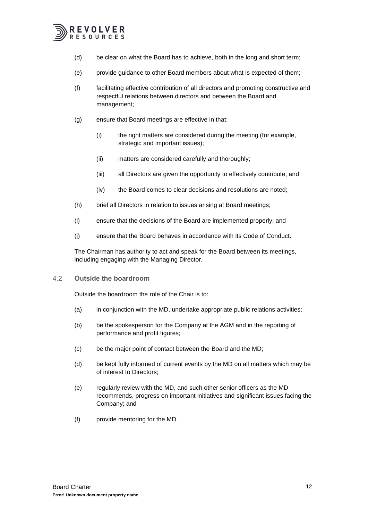

- (d) be clear on what the Board has to achieve, both in the long and short term;
- (e) provide guidance to other Board members about what is expected of them;
- (f) facilitating effective contribution of all directors and promoting constructive and respectful relations between directors and between the Board and management;
- (g) ensure that Board meetings are effective in that:
	- (i) the right matters are considered during the meeting (for example, strategic and important issues);
	- (ii) matters are considered carefully and thoroughly;
	- (iii) all Directors are given the opportunity to effectively contribute; and
	- (iv) the Board comes to clear decisions and resolutions are noted;
- (h) brief all Directors in relation to issues arising at Board meetings;
- (i) ensure that the decisions of the Board are implemented properly; and
- (j) ensure that the Board behaves in accordance with its Code of Conduct.

The Chairman has authority to act and speak for the Board between its meetings, including engaging with the Managing Director.

<span id="page-14-0"></span>4.2 **Outside the boardroom**

Outside the boardroom the role of the Chair is to:

- (a) in conjunction with the MD, undertake appropriate public relations activities;
- (b) be the spokesperson for the Company at the AGM and in the reporting of performance and profit figures;
- (c) be the major point of contact between the Board and the MD;
- (d) be kept fully informed of current events by the MD on all matters which may be of interest to Directors;
- (e) regularly review with the MD, and such other senior officers as the MD recommends, progress on important initiatives and significant issues facing the Company; and
- (f) provide mentoring for the MD.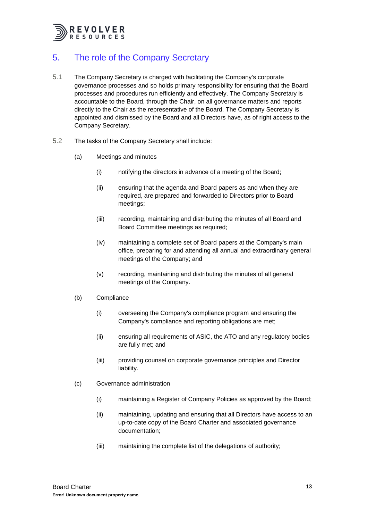

# <span id="page-15-0"></span>5. The role of the Company Secretary

- 5.1 The Company Secretary is charged with facilitating the Company's corporate governance processes and so holds primary responsibility for ensuring that the Board processes and procedures run efficiently and effectively. The Company Secretary is accountable to the Board, through the Chair, on all governance matters and reports directly to the Chair as the representative of the Board. The Company Secretary is appointed and dismissed by the Board and all Directors have, as of right access to the Company Secretary.
- 5.2 The tasks of the Company Secretary shall include:
	- (a) Meetings and minutes
		- (i) notifying the directors in advance of a meeting of the Board;
		- (ii) ensuring that the agenda and Board papers as and when they are required, are prepared and forwarded to Directors prior to Board meetings;
		- (iii) recording, maintaining and distributing the minutes of all Board and Board Committee meetings as required;
		- (iv) maintaining a complete set of Board papers at the Company's main office, preparing for and attending all annual and extraordinary general meetings of the Company; and
		- (v) recording, maintaining and distributing the minutes of all general meetings of the Company.
	- (b) Compliance
		- (i) overseeing the Company's compliance program and ensuring the Company's compliance and reporting obligations are met;
		- (ii) ensuring all requirements of ASIC, the ATO and any regulatory bodies are fully met; and
		- (iii) providing counsel on corporate governance principles and Director liability.
	- (c) Governance administration
		- (i) maintaining a Register of Company Policies as approved by the Board;
		- (ii) maintaining, updating and ensuring that all Directors have access to an up-to-date copy of the Board Charter and associated governance documentation;
		- (iii) maintaining the complete list of the delegations of authority;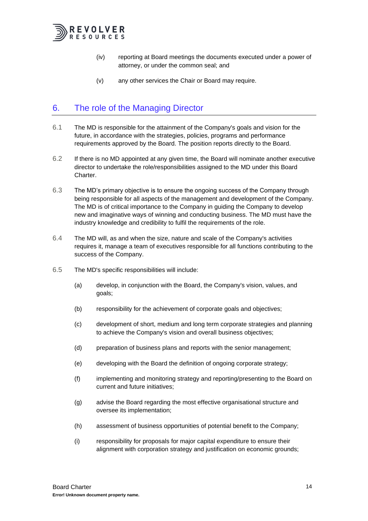

- (iv) reporting at Board meetings the documents executed under a power of attorney, or under the common seal; and
- (v) any other services the Chair or Board may require.

# <span id="page-16-0"></span>6. The role of the Managing Director

- 6.1 The MD is responsible for the attainment of the Company's goals and vision for the future, in accordance with the strategies, policies, programs and performance requirements approved by the Board. The position reports directly to the Board.
- 6.2 If there is no MD appointed at any given time, the Board will nominate another executive director to undertake the role/responsibilities assigned to the MD under this Board Charter.
- 6.3 The MD's primary objective is to ensure the ongoing success of the Company through being responsible for all aspects of the management and development of the Company. The MD is of critical importance to the Company in guiding the Company to develop new and imaginative ways of winning and conducting business. The MD must have the industry knowledge and credibility to fulfil the requirements of the role.
- 6.4 The MD will, as and when the size, nature and scale of the Company's activities requires it, manage a team of executives responsible for all functions contributing to the success of the Company.
- 6.5 The MD's specific responsibilities will include:
	- (a) develop, in conjunction with the Board, the Company's vision, values, and goals;
	- (b) responsibility for the achievement of corporate goals and objectives;
	- (c) development of short, medium and long term corporate strategies and planning to achieve the Company's vision and overall business objectives;
	- (d) preparation of business plans and reports with the senior management;
	- (e) developing with the Board the definition of ongoing corporate strategy;
	- (f) implementing and monitoring strategy and reporting/presenting to the Board on current and future initiatives;
	- (g) advise the Board regarding the most effective organisational structure and oversee its implementation;
	- (h) assessment of business opportunities of potential benefit to the Company;
	- (i) responsibility for proposals for major capital expenditure to ensure their alignment with corporation strategy and justification on economic grounds;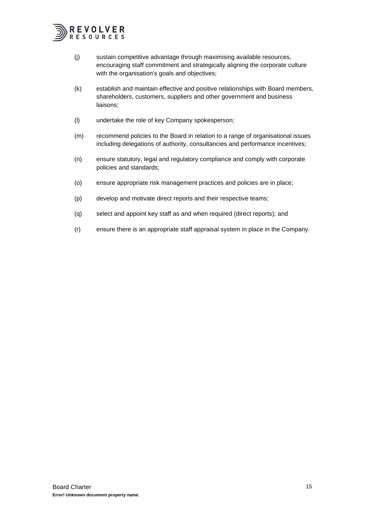

- (j) sustain competitive advantage through maximising available resources, encouraging staff commitment and strategically aligning the corporate culture with the organisation's goals and objectives;
- (k) establish and maintain effective and positive relationships with Board members, shareholders, customers, suppliers and other government and business liaisons;
- (l) undertake the role of key Company spokesperson;
- (m) recommend policies to the Board in relation to a range of organisational issues including delegations of authority, consultancies and performance incentives;
- (n) ensure statutory, legal and regulatory compliance and comply with corporate policies and standards;
- (o) ensure appropriate risk management practices and policies are in place;
- (p) develop and motivate direct reports and their respective teams;
- (q) select and appoint key staff as and when required (direct reports); and
- (r) ensure there is an appropriate staff appraisal system in place in the Company.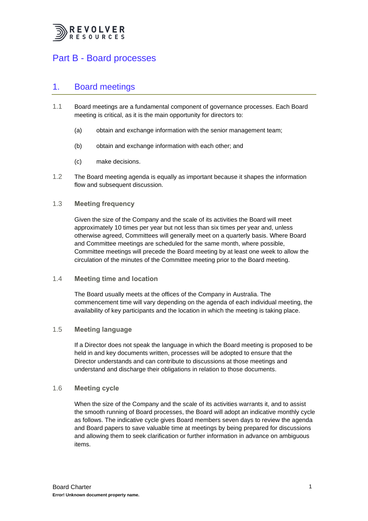

# <span id="page-18-0"></span>Part B - Board processes

### <span id="page-18-1"></span>1. Board meetings

- 1.1 Board meetings are a fundamental component of governance processes. Each Board meeting is critical, as it is the main opportunity for directors to:
	- (a) obtain and exchange information with the senior management team;
	- (b) obtain and exchange information with each other; and
	- (c) make decisions.
- 1.2 The Board meeting agenda is equally as important because it shapes the information flow and subsequent discussion.

#### <span id="page-18-2"></span>1.3 **Meeting frequency**

Given the size of the Company and the scale of its activities the Board will meet approximately 10 times per year but not less than six times per year and, unless otherwise agreed, Committees will generally meet on a quarterly basis. Where Board and Committee meetings are scheduled for the same month, where possible, Committee meetings will precede the Board meeting by at least one week to allow the circulation of the minutes of the Committee meeting prior to the Board meeting.

#### <span id="page-18-3"></span>1.4 **Meeting time and location**

The Board usually meets at the offices of the Company in Australia. The commencement time will vary depending on the agenda of each individual meeting, the availability of key participants and the location in which the meeting is taking place.

#### <span id="page-18-4"></span>1.5 **Meeting language**

If a Director does not speak the language in which the Board meeting is proposed to be held in and key documents written, processes will be adopted to ensure that the Director understands and can contribute to discussions at those meetings and understand and discharge their obligations in relation to those documents.

#### <span id="page-18-5"></span>1.6 **Meeting cycle**

When the size of the Company and the scale of its activities warrants it, and to assist the smooth running of Board processes, the Board will adopt an indicative monthly cycle as follows. The indicative cycle gives Board members seven days to review the agenda and Board papers to save valuable time at meetings by being prepared for discussions and allowing them to seek clarification or further information in advance on ambiguous items.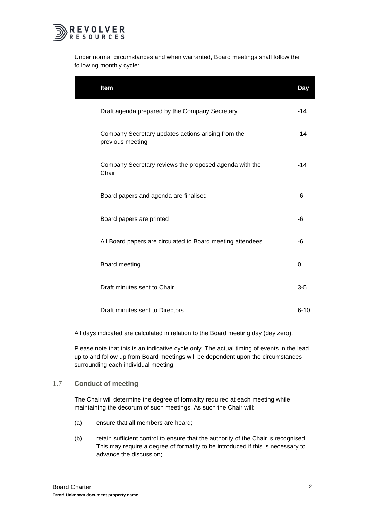

Under normal circumstances and when warranted, Board meetings shall follow the following monthly cycle:

| Item                                                                   | Day      |
|------------------------------------------------------------------------|----------|
| Draft agenda prepared by the Company Secretary                         | $-14$    |
| Company Secretary updates actions arising from the<br>previous meeting | $-14$    |
| Company Secretary reviews the proposed agenda with the<br>Chair        | $-14$    |
| Board papers and agenda are finalised                                  | -6       |
| Board papers are printed                                               | -6       |
| All Board papers are circulated to Board meeting attendees             | -6       |
| Board meeting                                                          | 0        |
| Draft minutes sent to Chair                                            | $3-5$    |
| Draft minutes sent to Directors                                        | $6 - 10$ |

All days indicated are calculated in relation to the Board meeting day (day zero).

Please note that this is an indicative cycle only. The actual timing of events in the lead up to and follow up from Board meetings will be dependent upon the circumstances surrounding each individual meeting.

#### <span id="page-19-0"></span>1.7 **Conduct of meeting**

The Chair will determine the degree of formality required at each meeting while maintaining the decorum of such meetings. As such the Chair will:

- (a) ensure that all members are heard;
- (b) retain sufficient control to ensure that the authority of the Chair is recognised. This may require a degree of formality to be introduced if this is necessary to advance the discussion;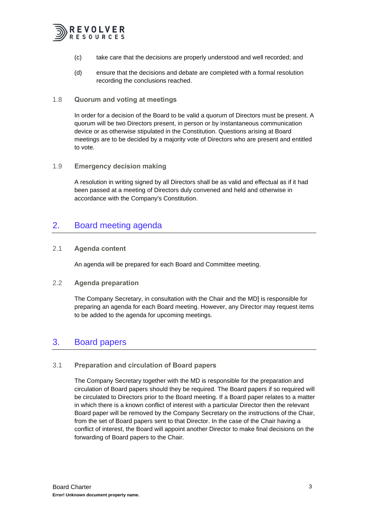

- (c) take care that the decisions are properly understood and well recorded; and
- (d) ensure that the decisions and debate are completed with a formal resolution recording the conclusions reached.

#### <span id="page-20-0"></span>1.8 **Quorum and voting at meetings**

In order for a decision of the Board to be valid a quorum of Directors must be present. A quorum will be two Directors present, in person or by instantaneous communication device or as otherwise stipulated in the Constitution. Questions arising at Board meetings are to be decided by a majority vote of Directors who are present and entitled to vote.

#### <span id="page-20-1"></span>1.9 **Emergency decision making**

A resolution in writing signed by all Directors shall be as valid and effectual as if it had been passed at a meeting of Directors duly convened and held and otherwise in accordance with the Company's Constitution.

## <span id="page-20-2"></span>2. Board meeting agenda

#### <span id="page-20-3"></span>2.1 **Agenda content**

An agenda will be prepared for each Board and Committee meeting.

#### <span id="page-20-4"></span>2.2 **Agenda preparation**

The Company Secretary, in consultation with the Chair and the MD] is responsible for preparing an agenda for each Board meeting. However, any Director may request items to be added to the agenda for upcoming meetings.

## <span id="page-20-5"></span>3. Board papers

#### <span id="page-20-6"></span>3.1 **Preparation and circulation of Board papers**

The Company Secretary together with the MD is responsible for the preparation and circulation of Board papers should they be required. The Board papers if so required will be circulated to Directors prior to the Board meeting. If a Board paper relates to a matter in which there is a known conflict of interest with a particular Director then the relevant Board paper will be removed by the Company Secretary on the instructions of the Chair, from the set of Board papers sent to that Director. In the case of the Chair having a conflict of interest, the Board will appoint another Director to make final decisions on the forwarding of Board papers to the Chair.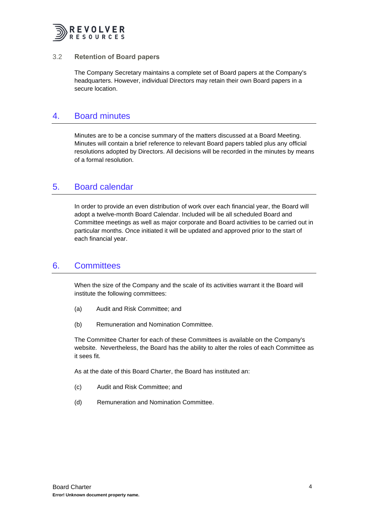

#### <span id="page-21-0"></span>3.2 **Retention of Board papers**

The Company Secretary maintains a complete set of Board papers at the Company's headquarters. However, individual Directors may retain their own Board papers in a secure location.

### <span id="page-21-1"></span>4. Board minutes

Minutes are to be a concise summary of the matters discussed at a Board Meeting. Minutes will contain a brief reference to relevant Board papers tabled plus any official resolutions adopted by Directors. All decisions will be recorded in the minutes by means of a formal resolution.

### <span id="page-21-2"></span>5. Board calendar

In order to provide an even distribution of work over each financial year, the Board will adopt a twelve-month Board Calendar. Included will be all scheduled Board and Committee meetings as well as major corporate and Board activities to be carried out in particular months. Once initiated it will be updated and approved prior to the start of each financial year.

## <span id="page-21-3"></span>6. Committees

When the size of the Company and the scale of its activities warrant it the Board will institute the following committees:

- (a) Audit and Risk Committee; and
- (b) Remuneration and Nomination Committee.

The Committee Charter for each of these Committees is available on the Company's website. Nevertheless, the Board has the ability to alter the roles of each Committee as it sees fit.

As at the date of this Board Charter, the Board has instituted an:

- (c) Audit and Risk Committee; and
- (d) Remuneration and Nomination Committee.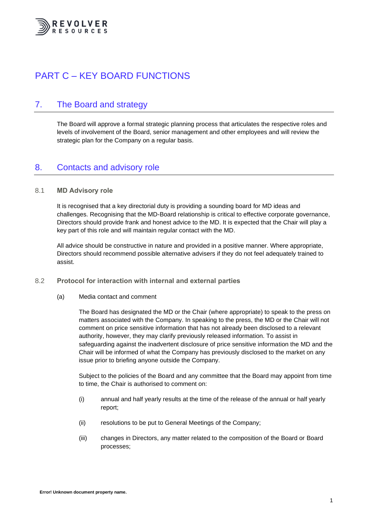

# <span id="page-22-0"></span>PART C – KEY BOARD FUNCTIONS

# <span id="page-22-1"></span>7. The Board and strategy

The Board will approve a formal strategic planning process that articulates the respective roles and levels of involvement of the Board, senior management and other employees and will review the strategic plan for the Company on a regular basis.

## <span id="page-22-2"></span>8. Contacts and advisory role

#### <span id="page-22-3"></span>8.1 **MD Advisory role**

It is recognised that a key directorial duty is providing a sounding board for MD ideas and challenges. Recognising that the MD-Board relationship is critical to effective corporate governance, Directors should provide frank and honest advice to the MD. It is expected that the Chair will play a key part of this role and will maintain regular contact with the MD.

All advice should be constructive in nature and provided in a positive manner. Where appropriate, Directors should recommend possible alternative advisers if they do not feel adequately trained to assist.

#### <span id="page-22-4"></span>8.2 **Protocol for interaction with internal and external parties**

(a) Media contact and comment

The Board has designated the MD or the Chair (where appropriate) to speak to the press on matters associated with the Company. In speaking to the press, the MD or the Chair will not comment on price sensitive information that has not already been disclosed to a relevant authority, however, they may clarify previously released information. To assist in safeguarding against the inadvertent disclosure of price sensitive information the MD and the Chair will be informed of what the Company has previously disclosed to the market on any issue prior to briefing anyone outside the Company.

Subject to the policies of the Board and any committee that the Board may appoint from time to time, the Chair is authorised to comment on:

- (i) annual and half yearly results at the time of the release of the annual or half yearly report;
- (ii) resolutions to be put to General Meetings of the Company;
- (iii) changes in Directors, any matter related to the composition of the Board or Board processes;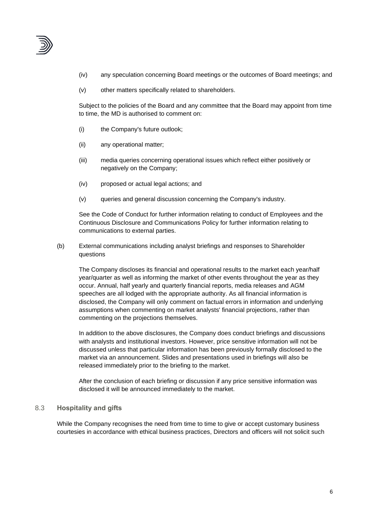

- (iv) any speculation concerning Board meetings or the outcomes of Board meetings; and
- (v) other matters specifically related to shareholders.

Subject to the policies of the Board and any committee that the Board may appoint from time to time, the MD is authorised to comment on:

- (i) the Company's future outlook;
- (ii) any operational matter;
- (iii) media queries concerning operational issues which reflect either positively or negatively on the Company;
- (iv) proposed or actual legal actions; and
- (v) queries and general discussion concerning the Company's industry.

See the Code of Conduct for further information relating to conduct of Employees and the Continuous Disclosure and Communications Policy for further information relating to communications to external parties.

(b) External communications including analyst briefings and responses to Shareholder questions

The Company discloses its financial and operational results to the market each year/half year/quarter as well as informing the market of other events throughout the year as they occur. Annual, half yearly and quarterly financial reports, media releases and AGM speeches are all lodged with the appropriate authority. As all financial information is disclosed, the Company will only comment on factual errors in information and underlying assumptions when commenting on market analysts' financial projections, rather than commenting on the projections themselves.

In addition to the above disclosures, the Company does conduct briefings and discussions with analysts and institutional investors. However, price sensitive information will not be discussed unless that particular information has been previously formally disclosed to the market via an announcement. Slides and presentations used in briefings will also be released immediately prior to the briefing to the market.

After the conclusion of each briefing or discussion if any price sensitive information was disclosed it will be announced immediately to the market.

#### <span id="page-23-0"></span>8.3 **Hospitality and gifts**

While the Company recognises the need from time to time to give or accept customary business courtesies in accordance with ethical business practices, Directors and officers will not solicit such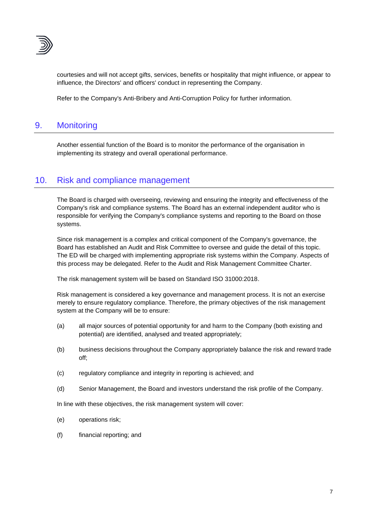

courtesies and will not accept gifts, services, benefits or hospitality that might influence, or appear to influence, the Directors' and officers' conduct in representing the Company.

Refer to the Company's Anti-Bribery and Anti-Corruption Policy for further information.

# <span id="page-24-0"></span>9. Monitoring

Another essential function of the Board is to monitor the performance of the organisation in implementing its strategy and overall operational performance.

## <span id="page-24-1"></span>10. Risk and compliance management

The Board is charged with overseeing, reviewing and ensuring the integrity and effectiveness of the Company's risk and compliance systems. The Board has an external independent auditor who is responsible for verifying the Company's compliance systems and reporting to the Board on those systems.

Since risk management is a complex and critical component of the Company's governance, the Board has established an Audit and Risk Committee to oversee and guide the detail of this topic. The ED will be charged with implementing appropriate risk systems within the Company. Aspects of this process may be delegated. Refer to the Audit and Risk Management Committee Charter.

The risk management system will be based on Standard ISO 31000:2018.

Risk management is considered a key governance and management process. It is not an exercise merely to ensure regulatory compliance. Therefore, the primary objectives of the risk management system at the Company will be to ensure:

- (a) all major sources of potential opportunity for and harm to the Company (both existing and potential) are identified, analysed and treated appropriately;
- (b) business decisions throughout the Company appropriately balance the risk and reward trade off;
- (c) regulatory compliance and integrity in reporting is achieved; and
- (d) Senior Management, the Board and investors understand the risk profile of the Company.

In line with these objectives, the risk management system will cover:

- (e) operations risk;
- (f) financial reporting; and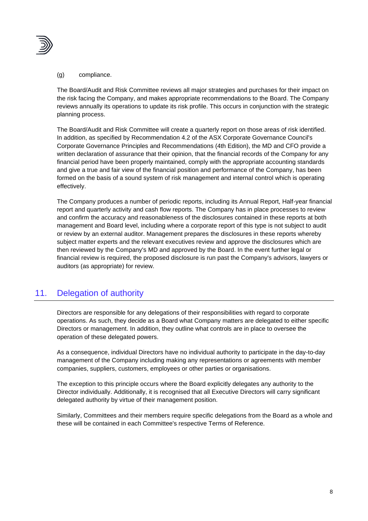

#### (g) compliance.

The Board/Audit and Risk Committee reviews all major strategies and purchases for their impact on the risk facing the Company, and makes appropriate recommendations to the Board. The Company reviews annually its operations to update its risk profile. This occurs in conjunction with the strategic planning process.

The Board/Audit and Risk Committee will create a quarterly report on those areas of risk identified. In addition, as specified by Recommendation 4.2 of the ASX Corporate Governance Council's Corporate Governance Principles and Recommendations (4th Edition), the MD and CFO provide a written declaration of assurance that their opinion, that the financial records of the Company for any financial period have been properly maintained, comply with the appropriate accounting standards and give a true and fair view of the financial position and performance of the Company, has been formed on the basis of a sound system of risk management and internal control which is operating effectively.

The Company produces a number of periodic reports, including its Annual Report, Half-year financial report and quarterly activity and cash flow reports. The Company has in place processes to review and confirm the accuracy and reasonableness of the disclosures contained in these reports at both management and Board level, including where a corporate report of this type is not subject to audit or review by an external auditor. Management prepares the disclosures in these reports whereby subject matter experts and the relevant executives review and approve the disclosures which are then reviewed by the Company's MD and approved by the Board. In the event further legal or financial review is required, the proposed disclosure is run past the Company's advisors, lawyers or auditors (as appropriate) for review.

# <span id="page-25-0"></span>11. Delegation of authority

Directors are responsible for any delegations of their responsibilities with regard to corporate operations. As such, they decide as a Board what Company matters are delegated to either specific Directors or management. In addition, they outline what controls are in place to oversee the operation of these delegated powers.

As a consequence, individual Directors have no individual authority to participate in the day-to-day management of the Company including making any representations or agreements with member companies, suppliers, customers, employees or other parties or organisations.

The exception to this principle occurs where the Board explicitly delegates any authority to the Director individually. Additionally, it is recognised that all Executive Directors will carry significant delegated authority by virtue of their management position.

Similarly, Committees and their members require specific delegations from the Board as a whole and these will be contained in each Committee's respective Terms of Reference.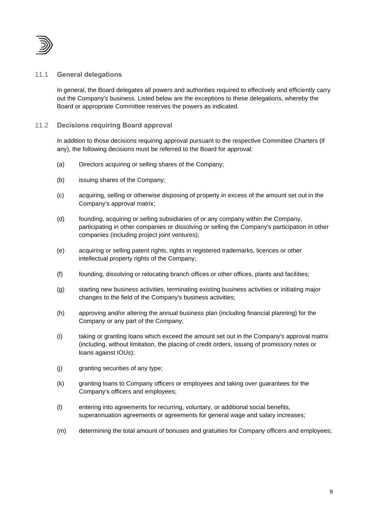

#### <span id="page-26-0"></span>11.1 **General delegations**

In general, the Board delegates all powers and authorities required to effectively and efficiently carry out the Company's business. Listed below are the exceptions to these delegations, whereby the Board or appropriate Committee reserves the powers as indicated.

#### <span id="page-26-1"></span>11.2 **Decisions requiring Board approval**

In addition to those decisions requiring approval pursuant to the respective Committee Charters (if any), the following decisions must be referred to the Board for approval:

- (a) Directors acquiring or selling shares of the Company;
- (b) issuing shares of the Company;
- (c) acquiring, selling or otherwise disposing of property in excess of the amount set out in the Company's approval matrix;
- (d) founding, acquiring or selling subsidiaries of or any company within the Company, participating in other companies or dissolving or selling the Company's participation in other companies (including project joint ventures);
- (e) acquiring or selling patent rights, rights in registered trademarks, licences or other intellectual property rights of the Company;
- (f) founding, dissolving or relocating branch offices or other offices, plants and facilities;
- (g) starting new business activities, terminating existing business activities or initiating major changes to the field of the Company's business activities;
- (h) approving and/or altering the annual business plan (including financial planning) for the Company or any part of the Company;
- (i) taking or granting loans which exceed the amount set out in the Company's approval matrix (including, without limitation, the placing of credit orders, issuing of promissory notes or loans against IOUs);
- (j) granting securities of any type;
- (k) granting loans to Company officers or employees and taking over guarantees for the Company's officers and employees;
- (l) entering into agreements for recurring, voluntary, or additional social benefits, superannuation agreements or agreements for general wage and salary increases;
- (m) determining the total amount of bonuses and gratuities for Company officers and employees;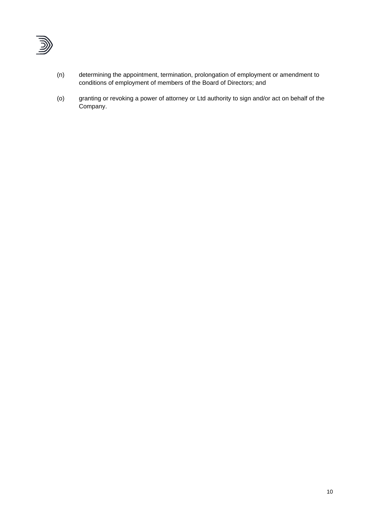

- (n) determining the appointment, termination, prolongation of employment or amendment to conditions of employment of members of the Board of Directors; and
- (o) granting or revoking a power of attorney or Ltd authority to sign and/or act on behalf of the Company.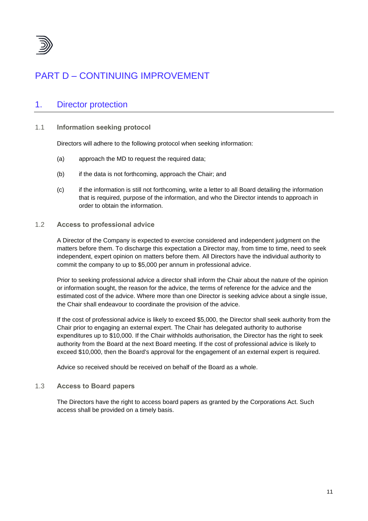

# <span id="page-28-0"></span>PART D – CONTINUING IMPROVEMENT

# <span id="page-28-1"></span>1. Director protection

#### <span id="page-28-2"></span>1.1 **Information seeking protocol**

Directors will adhere to the following protocol when seeking information:

- (a) approach the MD to request the required data;
- (b) if the data is not forthcoming, approach the Chair; and
- (c) if the information is still not forthcoming, write a letter to all Board detailing the information that is required, purpose of the information, and who the Director intends to approach in order to obtain the information.

#### <span id="page-28-3"></span>1.2 **Access to professional advice**

A Director of the Company is expected to exercise considered and independent judgment on the matters before them. To discharge this expectation a Director may, from time to time, need to seek independent, expert opinion on matters before them. All Directors have the individual authority to commit the company to up to \$5,000 per annum in professional advice.

Prior to seeking professional advice a director shall inform the Chair about the nature of the opinion or information sought, the reason for the advice, the terms of reference for the advice and the estimated cost of the advice. Where more than one Director is seeking advice about a single issue, the Chair shall endeavour to coordinate the provision of the advice.

If the cost of professional advice is likely to exceed \$5,000, the Director shall seek authority from the Chair prior to engaging an external expert. The Chair has delegated authority to authorise expenditures up to \$10,000. If the Chair withholds authorisation, the Director has the right to seek authority from the Board at the next Board meeting. If the cost of professional advice is likely to exceed \$10,000, then the Board's approval for the engagement of an external expert is required.

Advice so received should be received on behalf of the Board as a whole.

#### <span id="page-28-4"></span>1.3 **Access to Board papers**

The Directors have the right to access board papers as granted by the Corporations Act. Such access shall be provided on a timely basis.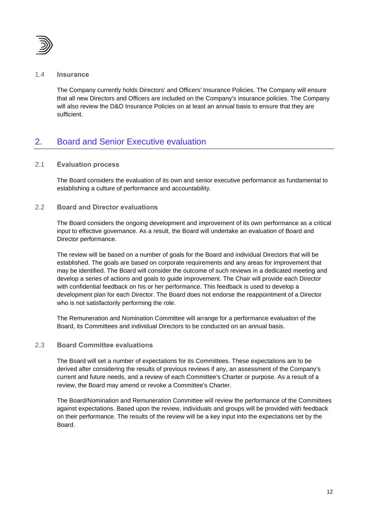

#### <span id="page-29-0"></span>1.4 **Insurance**

The Company currently holds Directors' and Officers' Insurance Policies. The Company will ensure that all new Directors and Officers are included on the Company's insurance policies. The Company will also review the D&O Insurance Policies on at least an annual basis to ensure that they are sufficient.

# <span id="page-29-1"></span>2. Board and Senior Executive evaluation

#### <span id="page-29-2"></span>2.1 **Evaluation process**

The Board considers the evaluation of its own and senior executive performance as fundamental to establishing a culture of performance and accountability.

#### <span id="page-29-3"></span>2.2 **Board and Director evaluations**

The Board considers the ongoing development and improvement of its own performance as a critical input to effective governance. As a result, the Board will undertake an evaluation of Board and Director performance.

The review will be based on a number of goals for the Board and individual Directors that will be established. The goals are based on corporate requirements and any areas for improvement that may be identified. The Board will consider the outcome of such reviews in a dedicated meeting and develop a series of actions and goals to guide improvement. The Chair will provide each Director with confidential feedback on his or her performance. This feedback is used to develop a development plan for each Director. The Board does not endorse the reappointment of a Director who is not satisfactorily performing the role.

The Remuneration and Nomination Committee will arrange for a performance evaluation of the Board, its Committees and individual Directors to be conducted on an annual basis.

#### <span id="page-29-4"></span>2.3 **Board Committee evaluations**

The Board will set a number of expectations for its Committees. These expectations are to be derived after considering the results of previous reviews if any, an assessment of the Company's current and future needs, and a review of each Committee's Charter or purpose. As a result of a review, the Board may amend or revoke a Committee's Charter.

The Board/Nomination and Remuneration Committee will review the performance of the Committees against expectations. Based upon the review, individuals and groups will be provided with feedback on their performance. The results of the review will be a key input into the expectations set by the Board.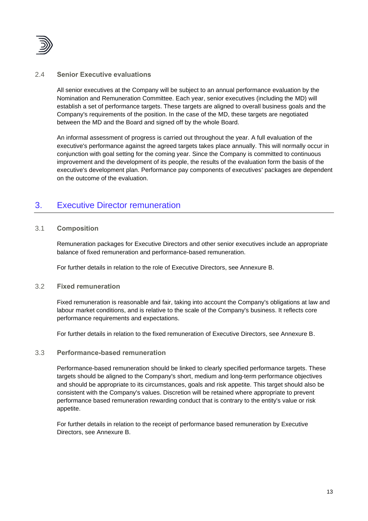

#### <span id="page-30-0"></span>2.4 **Senior Executive evaluations**

All senior executives at the Company will be subject to an annual performance evaluation by the Nomination and Remuneration Committee. Each year, senior executives (including the MD) will establish a set of performance targets. These targets are aligned to overall business goals and the Company's requirements of the position. In the case of the MD, these targets are negotiated between the MD and the Board and signed off by the whole Board.

An informal assessment of progress is carried out throughout the year. A full evaluation of the executive's performance against the agreed targets takes place annually. This will normally occur in conjunction with goal setting for the coming year. Since the Company is committed to continuous improvement and the development of its people, the results of the evaluation form the basis of the executive's development plan. Performance pay components of executives' packages are dependent on the outcome of the evaluation.

## <span id="page-30-1"></span>3. Executive Director remuneration

#### <span id="page-30-2"></span>3.1 **Composition**

Remuneration packages for Executive Directors and other senior executives include an appropriate balance of fixed remuneration and performance-based remuneration.

For further details in relation to the role of Executive Directors, see Annexure B.

#### <span id="page-30-3"></span>3.2 **Fixed remuneration**

Fixed remuneration is reasonable and fair, taking into account the Company's obligations at law and labour market conditions, and is relative to the scale of the Company's business. It reflects core performance requirements and expectations.

For further details in relation to the fixed remuneration of Executive Directors, see Annexure B.

#### <span id="page-30-4"></span>3.3 **Performance-based remuneration**

Performance-based remuneration should be linked to clearly specified performance targets. These targets should be aligned to the Company's short, medium and long-term performance objectives and should be appropriate to its circumstances, goals and risk appetite. This target should also be consistent with the Company's values. Discretion will be retained where appropriate to prevent performance based remuneration rewarding conduct that is contrary to the entity's value or risk appetite.

For further details in relation to the receipt of performance based remuneration by Executive Directors, see Annexure B.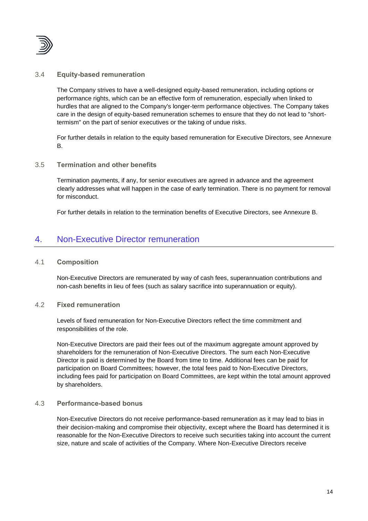

#### <span id="page-31-0"></span>3.4 **Equity-based remuneration**

The Company strives to have a well-designed equity-based remuneration, including options or performance rights, which can be an effective form of remuneration, especially when linked to hurdles that are aligned to the Company's longer-term performance objectives. The Company takes care in the design of equity-based remuneration schemes to ensure that they do not lead to "shorttermism" on the part of senior executives or the taking of undue risks.

For further details in relation to the equity based remuneration for Executive Directors, see Annexure B.

#### <span id="page-31-1"></span>3.5 **Termination and other benefits**

Termination payments, if any, for senior executives are agreed in advance and the agreement clearly addresses what will happen in the case of early termination. There is no payment for removal for misconduct.

For further details in relation to the termination benefits of Executive Directors, see Annexure B.

## <span id="page-31-2"></span>4. Non-Executive Director remuneration

#### <span id="page-31-3"></span>4.1 **Composition**

Non-Executive Directors are remunerated by way of cash fees, superannuation contributions and non-cash benefits in lieu of fees (such as salary sacrifice into superannuation or equity).

#### <span id="page-31-4"></span>4.2 **Fixed remuneration**

Levels of fixed remuneration for Non-Executive Directors reflect the time commitment and responsibilities of the role.

Non-Executive Directors are paid their fees out of the maximum aggregate amount approved by shareholders for the remuneration of Non-Executive Directors. The sum each Non-Executive Director is paid is determined by the Board from time to time. Additional fees can be paid for participation on Board Committees; however, the total fees paid to Non-Executive Directors, including fees paid for participation on Board Committees, are kept within the total amount approved by shareholders.

#### <span id="page-31-5"></span>4.3 **Performance-based bonus**

Non-Executive Directors do not receive performance-based remuneration as it may lead to bias in their decision-making and compromise their objectivity, except where the Board has determined it is reasonable for the Non-Executive Directors to receive such securities taking into account the current size, nature and scale of activities of the Company. Where Non-Executive Directors receive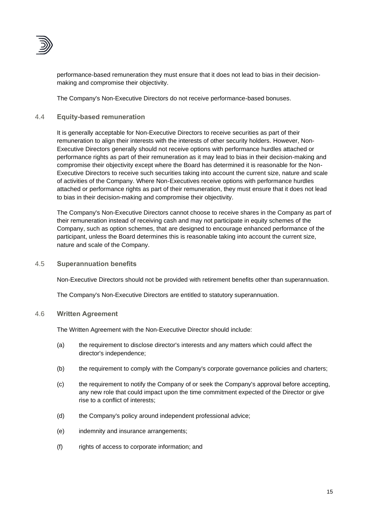

performance-based remuneration they must ensure that it does not lead to bias in their decisionmaking and compromise their objectivity.

The Company's Non-Executive Directors do not receive performance-based bonuses.

#### <span id="page-32-0"></span>4.4 **Equity-based remuneration**

It is generally acceptable for Non-Executive Directors to receive securities as part of their remuneration to align their interests with the interests of other security holders. However, Non-Executive Directors generally should not receive options with performance hurdles attached or performance rights as part of their remuneration as it may lead to bias in their decision-making and compromise their objectivity except where the Board has determined it is reasonable for the Non-Executive Directors to receive such securities taking into account the current size, nature and scale of activities of the Company. Where Non-Executives receive options with performance hurdles attached or performance rights as part of their remuneration, they must ensure that it does not lead to bias in their decision-making and compromise their objectivity.

The Company's Non-Executive Directors cannot choose to receive shares in the Company as part of their remuneration instead of receiving cash and may not participate in equity schemes of the Company, such as option schemes, that are designed to encourage enhanced performance of the participant, unless the Board determines this is reasonable taking into account the current size, nature and scale of the Company.

#### <span id="page-32-1"></span>4.5 **Superannuation benefits**

Non-Executive Directors should not be provided with retirement benefits other than superannuation.

The Company's Non-Executive Directors are entitled to statutory superannuation.

#### <span id="page-32-2"></span>4.6 **Written Agreement**

The Written Agreement with the Non-Executive Director should include:

- (a) the requirement to disclose director's interests and any matters which could affect the director's independence;
- (b) the requirement to comply with the Company's corporate governance policies and charters;
- (c) the requirement to notify the Company of or seek the Company's approval before accepting, any new role that could impact upon the time commitment expected of the Director or give rise to a conflict of interests;
- (d) the Company's policy around independent professional advice;
- (e) indemnity and insurance arrangements;
- (f) rights of access to corporate information; and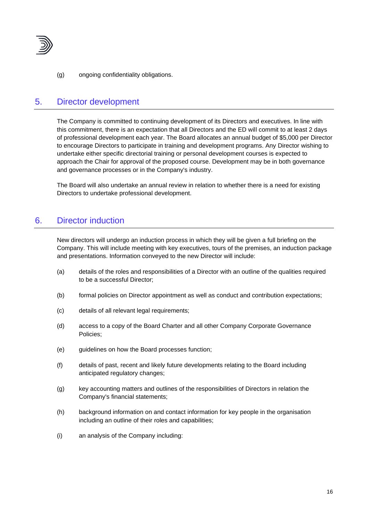

(g) ongoing confidentiality obligations.

## <span id="page-33-0"></span>5. Director development

The Company is committed to continuing development of its Directors and executives. In line with this commitment, there is an expectation that all Directors and the ED will commit to at least 2 days of professional development each year. The Board allocates an annual budget of \$5,000 per Director to encourage Directors to participate in training and development programs. Any Director wishing to undertake either specific directorial training or personal development courses is expected to approach the Chair for approval of the proposed course. Development may be in both governance and governance processes or in the Company's industry.

The Board will also undertake an annual review in relation to whether there is a need for existing Directors to undertake professional development.

# <span id="page-33-1"></span>6. Director induction

New directors will undergo an induction process in which they will be given a full briefing on the Company. This will include meeting with key executives, tours of the premises, an induction package and presentations. Information conveyed to the new Director will include:

- (a) details of the roles and responsibilities of a Director with an outline of the qualities required to be a successful Director;
- (b) formal policies on Director appointment as well as conduct and contribution expectations;
- (c) details of all relevant legal requirements;
- (d) access to a copy of the Board Charter and all other Company Corporate Governance Policies;
- (e) guidelines on how the Board processes function;
- (f) details of past, recent and likely future developments relating to the Board including anticipated regulatory changes;
- (g) key accounting matters and outlines of the responsibilities of Directors in relation the Company's financial statements;
- (h) background information on and contact information for key people in the organisation including an outline of their roles and capabilities;
- (i) an analysis of the Company including: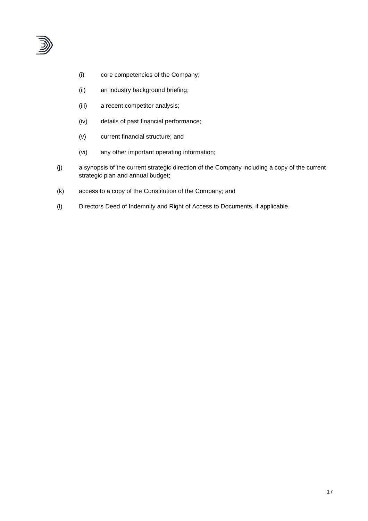

- (i) core competencies of the Company;
- (ii) an industry background briefing;
- (iii) a recent competitor analysis;
- (iv) details of past financial performance;
- (v) current financial structure; and
- (vi) any other important operating information;
- (j) a synopsis of the current strategic direction of the Company including a copy of the current strategic plan and annual budget;
- (k) access to a copy of the Constitution of the Company; and
- (l) Directors Deed of Indemnity and Right of Access to Documents, if applicable.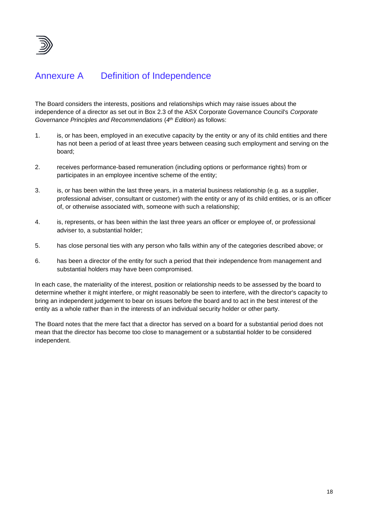

# Annexure A Definition of Independence

The Board considers the interests, positions and relationships which may raise issues about the independence of a director as set out in Box 2.3 of the ASX Corporate Governance Council's *Corporate Governance Principles and Recommendations* (*4 th Edition*) as follows:

- 1. is, or has been, employed in an executive capacity by the entity or any of its child entities and there has not been a period of at least three years between ceasing such employment and serving on the board;
- 2. receives performance-based remuneration (including options or performance rights) from or participates in an employee incentive scheme of the entity;
- 3. is, or has been within the last three years, in a material business relationship (e.g. as a supplier, professional adviser, consultant or customer) with the entity or any of its child entities, or is an officer of, or otherwise associated with, someone with such a relationship;
- 4. is, represents, or has been within the last three years an officer or employee of, or professional adviser to, a substantial holder;
- 5. has close personal ties with any person who falls within any of the categories described above; or
- 6. has been a director of the entity for such a period that their independence from management and substantial holders may have been compromised.

In each case, the materiality of the interest, position or relationship needs to be assessed by the board to determine whether it might interfere, or might reasonably be seen to interfere, with the director's capacity to bring an independent judgement to bear on issues before the board and to act in the best interest of the entity as a whole rather than in the interests of an individual security holder or other party.

The Board notes that the mere fact that a director has served on a board for a substantial period does not mean that the director has become too close to management or a substantial holder to be considered independent.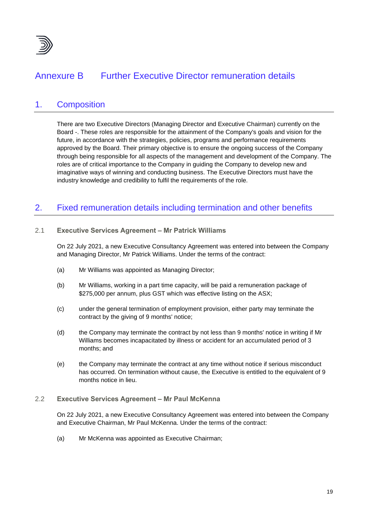

# Annexure B Further Executive Director remuneration details

## 1. Composition

There are two Executive Directors (Managing Director and Executive Chairman) currently on the Board -. These roles are responsible for the attainment of the Company's goals and vision for the future, in accordance with the strategies, policies, programs and performance requirements approved by the Board. Their primary objective is to ensure the ongoing success of the Company through being responsible for all aspects of the management and development of the Company. The roles are of critical importance to the Company in guiding the Company to develop new and imaginative ways of winning and conducting business. The Executive Directors must have the industry knowledge and credibility to fulfil the requirements of the role.

# 2. Fixed remuneration details including termination and other benefits

#### 2.1 **Executive Services Agreement – Mr Patrick Williams**

On 22 July 2021, a new Executive Consultancy Agreement was entered into between the Company and Managing Director, Mr Patrick Williams. Under the terms of the contract:

- (a) Mr Williams was appointed as Managing Director;
- (b) Mr Williams, working in a part time capacity, will be paid a remuneration package of \$275,000 per annum, plus GST which was effective listing on the ASX;
- (c) under the general termination of employment provision, either party may terminate the contract by the giving of 9 months' notice;
- (d) the Company may terminate the contract by not less than 9 months' notice in writing if Mr Williams becomes incapacitated by illness or accident for an accumulated period of 3 months; and
- (e) the Company may terminate the contract at any time without notice if serious misconduct has occurred. On termination without cause, the Executive is entitled to the equivalent of 9 months notice in lieu.

#### 2.2 **Executive Services Agreement – Mr Paul McKenna**

On 22 July 2021, a new Executive Consultancy Agreement was entered into between the Company and Executive Chairman, Mr Paul McKenna. Under the terms of the contract:

(a) Mr McKenna was appointed as Executive Chairman;